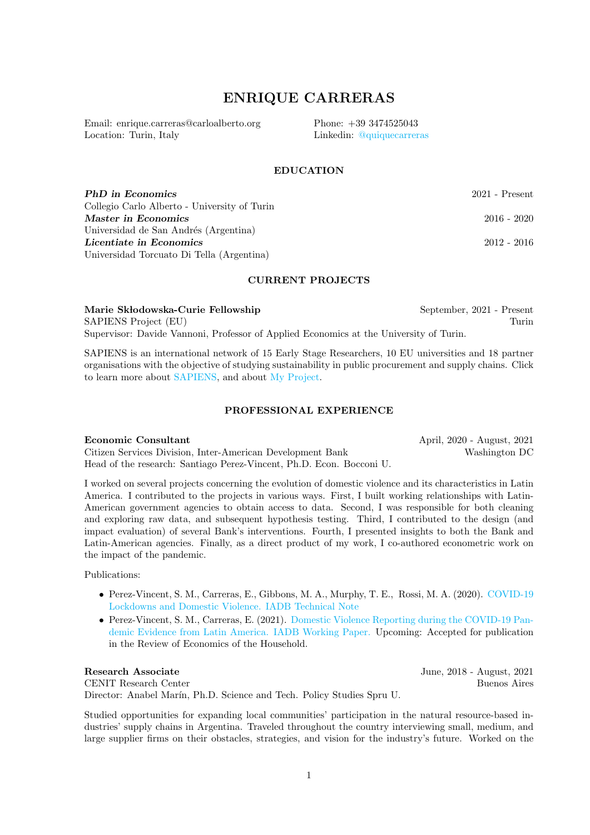# ENRIQUE CARRERAS

Email: enrique.carreras@carloalberto.org Location: Turin, Italy

Phone: +39 3474525043 Linkedin: [@quiquecarreras](https://www.linkedin.com/in/quiquecarreras/)

## **EDUCATION**

**PhD in Economics** 2021 - Present Collegio Carlo Alberto - University of Turin Master in Economics 2016 - 2020 Universidad de San Andrés (Argentina) Licentiate in Economics 2012 - 2016 Universidad Torcuato Di Tella (Argentina)

### CURRENT PROJECTS

Marie Skłodowska-Curie Fellowship September, 2021 - Present SAPIENS Project (EU) Turin Supervisor: Davide Vannoni, Professor of Applied Economics at the University of Turin.

SAPIENS is an international network of 15 Early Stage Researchers, 10 EU universities and 18 partner organisations with the objective of studying sustainability in public procurement and supply chains. Click to learn more about [SAPIENS,](https://sapiensnetwork.eu/) and about [My Project.](https://sapiensnetwork.eu/research/early-stage-researcher-projects/empowering-groups-through-supply-chains/ )

#### PROFESSIONAL EXPERIENCE

**Economic Consultant** April, 2020 - August, 2021

Citizen Services Division, Inter-American Development Bank Washington DC Head of the research: Santiago Perez-Vincent, Ph.D. Econ. Bocconi U.

I worked on several projects concerning the evolution of domestic violence and its characteristics in Latin America. I contributed to the projects in various ways. First, I built working relationships with Latin-American government agencies to obtain access to data. Second, I was responsible for both cleaning and exploring raw data, and subsequent hypothesis testing. Third, I contributed to the design (and impact evaluation) of several Bank's interventions. Fourth, I presented insights to both the Bank and Latin-American agencies. Finally, as a direct product of my work, I co-authored econometric work on the impact of the pandemic.

Publications:

- Perez-Vincent, S. M., Carreras, E., Gibbons, M. A., Murphy, T. E., Rossi, M. A. (2020). [COVID-19](https://publications.iadb.org/en/covid-19-lockdowns-and-domestic-violence-evidence-from-two-studies-in-argentina) [Lockdowns and Domestic Violence. IADB Technical Note](https://publications.iadb.org/en/covid-19-lockdowns-and-domestic-violence-evidence-from-two-studies-in-argentina)
- Perez-Vincent, S. M., Carreras, E. (2021). [Domestic Violence Reporting during the COVID-19 Pan](https://publications.iadb.org/en/domestic-violence-reporting-during-covid-19-pandemic-evidence-latin-america)[demic Evidence from Latin America. IADB Working Paper.](https://publications.iadb.org/en/domestic-violence-reporting-during-covid-19-pandemic-evidence-latin-america) Upcoming: Accepted for publication in the Review of Economics of the Household.

Research Associate June, 2018 - August, 2021 CENIT Research Center Buenos Aires Director: Anabel Marín, Ph.D. Science and Tech. Policy Studies Spru U.

Studied opportunities for expanding local communities' participation in the natural resource-based industries' supply chains in Argentina. Traveled throughout the country interviewing small, medium, and large supplier firms on their obstacles, strategies, and vision for the industry's future. Worked on the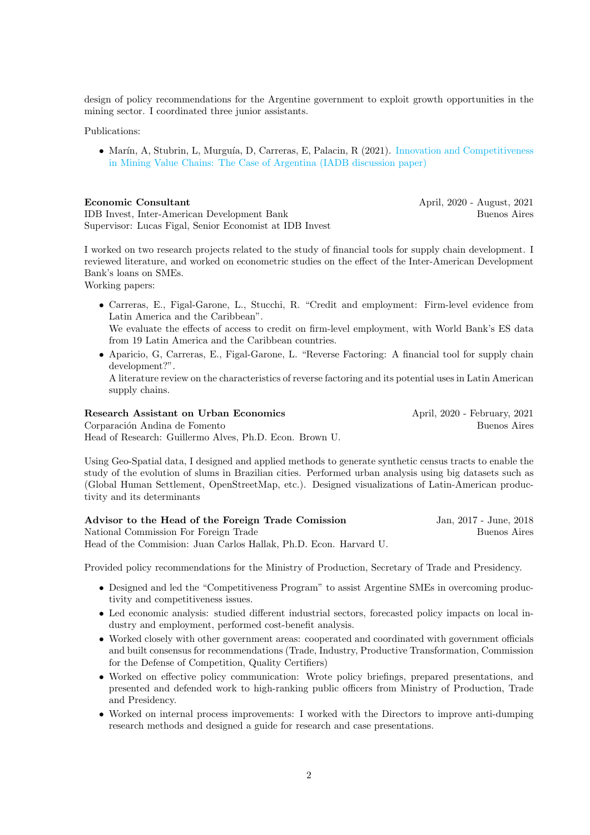design of policy recommendations for the Argentine government to exploit growth opportunities in the mining sector. I coordinated three junior assistants.

#### Publications:

• Marín, A, Stubrin, L, Murguía, D, Carreras, E, Palacin, R (2021). [Innovation and Competitiveness](https://publications.iadb.org/publications/english/document/Innovation-and-Competitiveness-in-Mining-Value-Chains-The-Case-of-Argentina.pdf) [in Mining Value Chains: The Case of Argentina \(IADB discussion paper\)](https://publications.iadb.org/publications/english/document/Innovation-and-Competitiveness-in-Mining-Value-Chains-The-Case-of-Argentina.pdf)

Economic Consultant April, 2020 - August, 2021

IDB Invest, Inter-American Development Bank Buenos Aires Supervisor: Lucas Figal, Senior Economist at IDB Invest

I worked on two research projects related to the study of financial tools for supply chain development. I reviewed literature, and worked on econometric studies on the effect of the Inter-American Development Bank's loans on SMEs.

Working papers:

- Carreras, E., Figal-Garone, L., Stucchi, R. "Credit and employment: Firm-level evidence from Latin America and the Caribbean". We evaluate the effects of access to credit on firm-level employment, with World Bank's ES data
	- from 19 Latin America and the Caribbean countries.
- Aparicio, G, Carreras, E., Figal-Garone, L. "Reverse Factoring: A financial tool for supply chain development?".

A literature review on the characteristics of reverse factoring and its potential uses in Latin American supply chains.

Research Assistant on Urban Economics April, 2020 - February, 2021 Corparación Andina de Fomento  $\qquad \qquad$ Buenos Aires Head of Research: Guillermo Alves, Ph.D. Econ. Brown U.

Using Geo-Spatial data, I designed and applied methods to generate synthetic census tracts to enable the study of the evolution of slums in Brazilian cities. Performed urban analysis using big datasets such as (Global Human Settlement, OpenStreetMap, etc.). Designed visualizations of Latin-American productivity and its determinants

| Advisor to the Head of the Foreign Trade Comission                | Jan, 2017 - June, 2018 |
|-------------------------------------------------------------------|------------------------|
| National Commission For Foreign Trade                             | Buenos Aires           |
| Head of the Commision: Juan Carlos Hallak, Ph.D. Econ. Harvard U. |                        |

Provided policy recommendations for the Ministry of Production, Secretary of Trade and Presidency.

- Designed and led the "Competitiveness Program" to assist Argentine SMEs in overcoming productivity and competitiveness issues.
- Led economic analysis: studied different industrial sectors, forecasted policy impacts on local industry and employment, performed cost-benefit analysis.
- Worked closely with other government areas: cooperated and coordinated with government officials and built consensus for recommendations (Trade, Industry, Productive Transformation, Commission for the Defense of Competition, Quality Certifiers)
- Worked on effective policy communication: Wrote policy briefings, prepared presentations, and presented and defended work to high-ranking public officers from Ministry of Production, Trade and Presidency.
- Worked on internal process improvements: I worked with the Directors to improve anti-dumping research methods and designed a guide for research and case presentations.